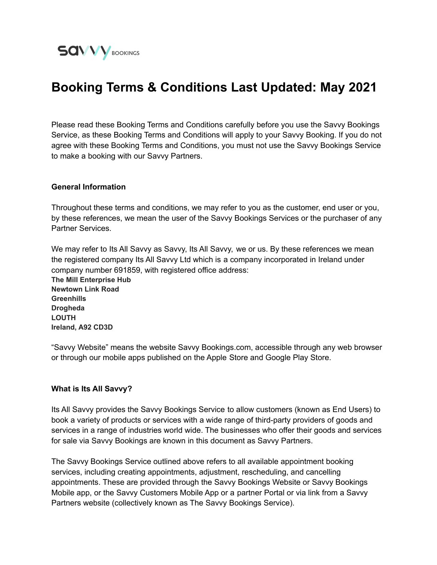

# **Booking Terms & Conditions Last Updated: May 2021**

Please read these Booking Terms and Conditions carefully before you use the Savvy Bookings Service, as these Booking Terms and Conditions will apply to your Savvy Booking. If you do not agree with these Booking Terms and Conditions, you must not use the Savvy Bookings Service to make a booking with our Savvy Partners.

#### **General Information**

Throughout these terms and conditions, we may refer to you as the customer, end user or you, by these references, we mean the user of the Savvy Bookings Services or the purchaser of any Partner Services.

We may refer to Its All Savvy as Savvy, Its All Savvy, we or us. By these references we mean the registered company Its All Savvy Ltd which is a company incorporated in Ireland under company number 691859, with registered office address:

**The Mill Enterprise Hub Newtown Link Road Greenhills Drogheda LOUTH Ireland, A92 CD3D**

"Savvy Website" means the website Savvy Bookings.com, accessible through any web browser or through our mobile apps published on the Apple Store and Google Play Store.

#### **What is Its All Savvy?**

Its All Savvy provides the Savvy Bookings Service to allow customers (known as End Users) to book a variety of products or services with a wide range of third-party providers of goods and services in a range of industries world wide. The businesses who offer their goods and services for sale via Savvy Bookings are known in this document as Savvy Partners.

The Savvy Bookings Service outlined above refers to all available appointment booking services, including creating appointments, adjustment, rescheduling, and cancelling appointments. These are provided through the Savvy Bookings Website or Savvy Bookings Mobile app, or the Savvy Customers Mobile App or a partner Portal or via link from a Savvy Partners website (collectively known as The Savvy Bookings Service).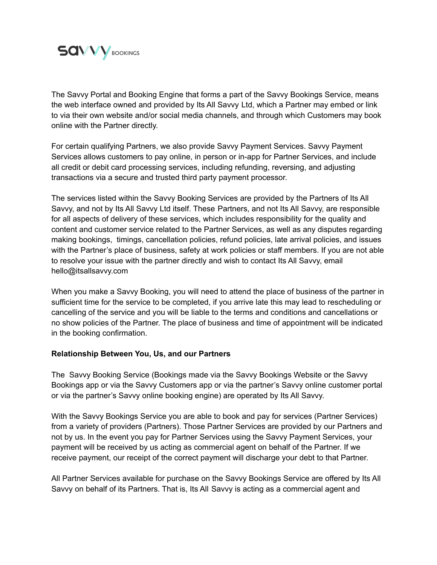

The Savvy Portal and Booking Engine that forms a part of the Savvy Bookings Service, means the web interface owned and provided by Its All Savvy Ltd, which a Partner may embed or link to via their own website and/or social media channels, and through which Customers may book online with the Partner directly.

For certain qualifying Partners, we also provide Savvy Payment Services. Savvy Payment Services allows customers to pay online, in person or in-app for Partner Services, and include all credit or debit card processing services, including refunding, reversing, and adjusting transactions via a secure and trusted third party payment processor.

The services listed within the Savvy Booking Services are provided by the Partners of Its All Savvy, and not by Its All Savvy Ltd itself. These Partners, and not Its All Savvy, are responsible for all aspects of delivery of these services, which includes responsibility for the quality and content and customer service related to the Partner Services, as well as any disputes regarding making bookings, timings, cancellation policies, refund policies, late arrival policies, and issues with the Partner's place of business, safety at work policies or staff members. If you are not able to resolve your issue with the partner directly and wish to contact Its All Savvy, email hello@itsallsavvy.com

When you make a Savvy Booking, you will need to attend the place of business of the partner in sufficient time for the service to be completed, if you arrive late this may lead to rescheduling or cancelling of the service and you will be liable to the terms and conditions and cancellations or no show policies of the Partner. The place of business and time of appointment will be indicated in the booking confirmation.

#### **Relationship Between You, Us, and our Partners**

The Savvy Booking Service (Bookings made via the Savvy Bookings Website or the Savvy Bookings app or via the Savvy Customers app or via the partner's Savvy online customer portal or via the partner's Savvy online booking engine) are operated by Its All Savvy.

With the Savvy Bookings Service you are able to book and pay for services (Partner Services) from a variety of providers (Partners). Those Partner Services are provided by our Partners and not by us. In the event you pay for Partner Services using the Savvy Payment Services, your payment will be received by us acting as commercial agent on behalf of the Partner. If we receive payment, our receipt of the correct payment will discharge your debt to that Partner.

All Partner Services available for purchase on the Savvy Bookings Service are offered by Its All Savvy on behalf of its Partners. That is, Its All Savvy is acting as a commercial agent and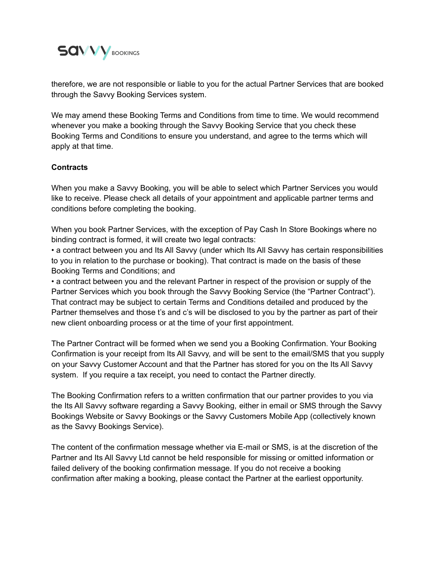

therefore, we are not responsible or liable to you for the actual Partner Services that are booked through the Savvy Booking Services system.

We may amend these Booking Terms and Conditions from time to time. We would recommend whenever you make a booking through the Savvy Booking Service that you check these Booking Terms and Conditions to ensure you understand, and agree to the terms which will apply at that time.

## **Contracts**

When you make a Savvy Booking, you will be able to select which Partner Services you would like to receive. Please check all details of your appointment and applicable partner terms and conditions before completing the booking.

When you book Partner Services, with the exception of Pay Cash In Store Bookings where no binding contract is formed, it will create two legal contracts:

• a contract between you and Its All Savvy (under which Its All Savvy has certain responsibilities to you in relation to the purchase or booking). That contract is made on the basis of these Booking Terms and Conditions; and

• a contract between you and the relevant Partner in respect of the provision or supply of the Partner Services which you book through the Savvy Booking Service (the "Partner Contract"). That contract may be subject to certain Terms and Conditions detailed and produced by the Partner themselves and those t's and c's will be disclosed to you by the partner as part of their new client onboarding process or at the time of your first appointment.

The Partner Contract will be formed when we send you a Booking Confirmation. Your Booking Confirmation is your receipt from Its All Savvy, and will be sent to the email/SMS that you supply on your Savvy Customer Account and that the Partner has stored for you on the Its All Savvy system. If you require a tax receipt, you need to contact the Partner directly.

The Booking Confirmation refers to a written confirmation that our partner provides to you via the Its All Savvy software regarding a Savvy Booking, either in email or SMS through the Savvy Bookings Website or Savvy Bookings or the Savvy Customers Mobile App (collectively known as the Savvy Bookings Service).

The content of the confirmation message whether via E-mail or SMS, is at the discretion of the Partner and Its All Savvy Ltd cannot be held responsible for missing or omitted information or failed delivery of the booking confirmation message. If you do not receive a booking confirmation after making a booking, please contact the Partner at the earliest opportunity.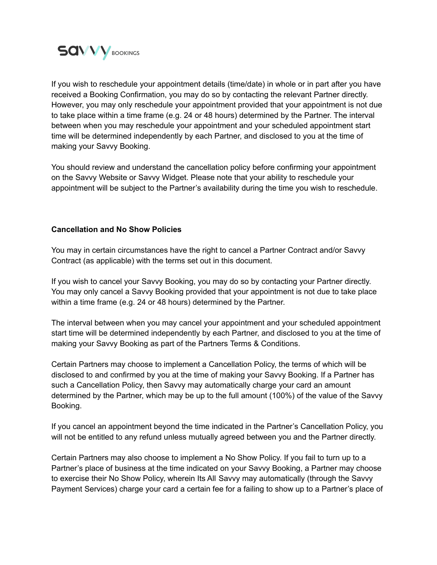

If you wish to reschedule your appointment details (time/date) in whole or in part after you have received a Booking Confirmation, you may do so by contacting the relevant Partner directly. However, you may only reschedule your appointment provided that your appointment is not due to take place within a time frame (e.g. 24 or 48 hours) determined by the Partner. The interval between when you may reschedule your appointment and your scheduled appointment start time will be determined independently by each Partner, and disclosed to you at the time of making your Savvy Booking.

You should review and understand the cancellation policy before confirming your appointment on the Savvy Website or Savvy Widget. Please note that your ability to reschedule your appointment will be subject to the Partner's availability during the time you wish to reschedule.

## **Cancellation and No Show Policies**

You may in certain circumstances have the right to cancel a Partner Contract and/or Savvy Contract (as applicable) with the terms set out in this document.

If you wish to cancel your Savvy Booking, you may do so by contacting your Partner directly. You may only cancel a Savvy Booking provided that your appointment is not due to take place within a time frame (e.g. 24 or 48 hours) determined by the Partner.

The interval between when you may cancel your appointment and your scheduled appointment start time will be determined independently by each Partner, and disclosed to you at the time of making your Savvy Booking as part of the Partners Terms & Conditions.

Certain Partners may choose to implement a Cancellation Policy, the terms of which will be disclosed to and confirmed by you at the time of making your Savvy Booking. If a Partner has such a Cancellation Policy, then Savvy may automatically charge your card an amount determined by the Partner, which may be up to the full amount (100%) of the value of the Savvy Booking.

If you cancel an appointment beyond the time indicated in the Partner's Cancellation Policy, you will not be entitled to any refund unless mutually agreed between you and the Partner directly.

Certain Partners may also choose to implement a No Show Policy. If you fail to turn up to a Partner's place of business at the time indicated on your Savvy Booking, a Partner may choose to exercise their No Show Policy, wherein Its All Savvy may automatically (through the Savvy Payment Services) charge your card a certain fee for a failing to show up to a Partner's place of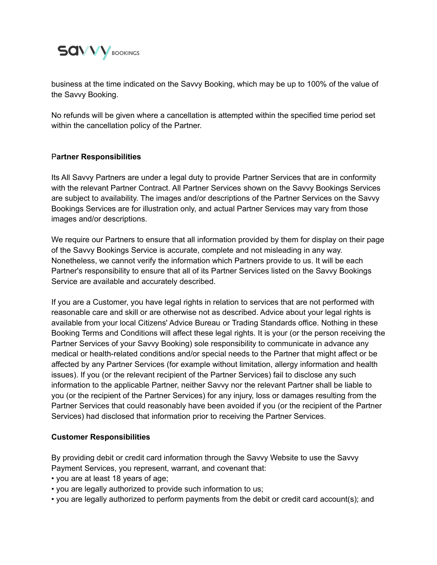

business at the time indicated on the Savvy Booking, which may be up to 100% of the value of the Savvy Booking.

No refunds will be given where a cancellation is attempted within the specified time period set within the cancellation policy of the Partner.

### P**artner Responsibilities**

Its All Savvy Partners are under a legal duty to provide Partner Services that are in conformity with the relevant Partner Contract. All Partner Services shown on the Savvy Bookings Services are subject to availability. The images and/or descriptions of the Partner Services on the Savvy Bookings Services are for illustration only, and actual Partner Services may vary from those images and/or descriptions.

We require our Partners to ensure that all information provided by them for display on their page of the Savvy Bookings Service is accurate, complete and not misleading in any way. Nonetheless, we cannot verify the information which Partners provide to us. It will be each Partner's responsibility to ensure that all of its Partner Services listed on the Savvy Bookings Service are available and accurately described.

If you are a Customer, you have legal rights in relation to services that are not performed with reasonable care and skill or are otherwise not as described. Advice about your legal rights is available from your local Citizens' Advice Bureau or Trading Standards office. Nothing in these Booking Terms and Conditions will affect these legal rights. It is your (or the person receiving the Partner Services of your Savvy Booking) sole responsibility to communicate in advance any medical or health-related conditions and/or special needs to the Partner that might affect or be affected by any Partner Services (for example without limitation, allergy information and health issues). If you (or the relevant recipient of the Partner Services) fail to disclose any such information to the applicable Partner, neither Savvy nor the relevant Partner shall be liable to you (or the recipient of the Partner Services) for any injury, loss or damages resulting from the Partner Services that could reasonably have been avoided if you (or the recipient of the Partner Services) had disclosed that information prior to receiving the Partner Services.

#### **Customer Responsibilities**

By providing debit or credit card information through the Savvy Website to use the Savvy Payment Services, you represent, warrant, and covenant that:

- you are at least 18 years of age;
- you are legally authorized to provide such information to us;
- you are legally authorized to perform payments from the debit or credit card account(s); and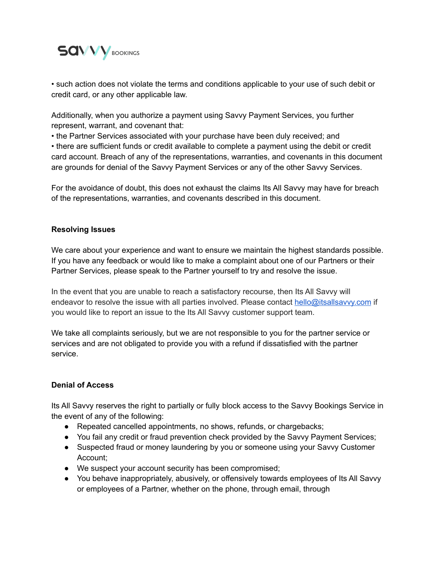

• such action does not violate the terms and conditions applicable to your use of such debit or credit card, or any other applicable law.

Additionally, when you authorize a payment using Savvy Payment Services, you further represent, warrant, and covenant that:

• the Partner Services associated with your purchase have been duly received; and

• there are sufficient funds or credit available to complete a payment using the debit or credit card account. Breach of any of the representations, warranties, and covenants in this document are grounds for denial of the Savvy Payment Services or any of the other Savvy Services.

For the avoidance of doubt, this does not exhaust the claims Its All Savvy may have for breach of the representations, warranties, and covenants described in this document.

## **Resolving Issues**

We care about your experience and want to ensure we maintain the highest standards possible. If you have any feedback or would like to make a complaint about one of our Partners or their Partner Services, please speak to the Partner yourself to try and resolve the issue.

In the event that you are unable to reach a satisfactory recourse, then Its All Savvy will endeavor to resolve the issue with all parties involved. Please contact [hello@itsallsavvy.com](mailto:hello@itsallsavvy.com) if you would like to report an issue to the Its All Savvy customer support team.

We take all complaints seriously, but we are not responsible to you for the partner service or services and are not obligated to provide you with a refund if dissatisfied with the partner service.

## **Denial of Access**

Its All Savvy reserves the right to partially or fully block access to the Savvy Bookings Service in the event of any of the following:

- Repeated cancelled appointments, no shows, refunds, or chargebacks;
- You fail any credit or fraud prevention check provided by the Savvy Payment Services;
- Suspected fraud or money laundering by you or someone using your Savvy Customer Account;
- We suspect your account security has been compromised;
- You behave inappropriately, abusively, or offensively towards employees of Its All Savvy or employees of a Partner, whether on the phone, through email, through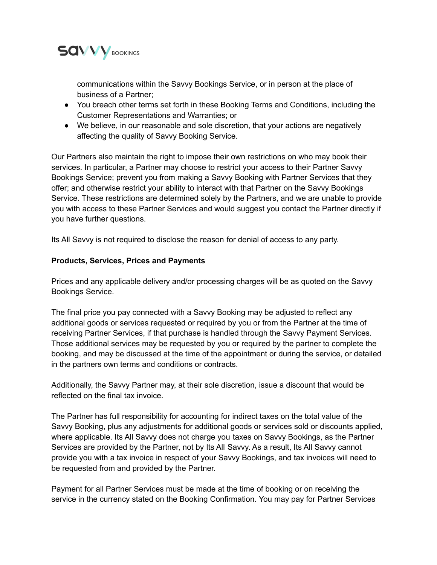

communications within the Savvy Bookings Service, or in person at the place of business of a Partner;

- You breach other terms set forth in these Booking Terms and Conditions, including the Customer Representations and Warranties; or
- We believe, in our reasonable and sole discretion, that your actions are negatively affecting the quality of Savvy Booking Service.

Our Partners also maintain the right to impose their own restrictions on who may book their services. In particular, a Partner may choose to restrict your access to their Partner Savvy Bookings Service; prevent you from making a Savvy Booking with Partner Services that they offer; and otherwise restrict your ability to interact with that Partner on the Savvy Bookings Service. These restrictions are determined solely by the Partners, and we are unable to provide you with access to these Partner Services and would suggest you contact the Partner directly if you have further questions.

Its All Savvy is not required to disclose the reason for denial of access to any party.

## **Products, Services, Prices and Payments**

Prices and any applicable delivery and/or processing charges will be as quoted on the Savvy Bookings Service.

The final price you pay connected with a Savvy Booking may be adjusted to reflect any additional goods or services requested or required by you or from the Partner at the time of receiving Partner Services, if that purchase is handled through the Savvy Payment Services. Those additional services may be requested by you or required by the partner to complete the booking, and may be discussed at the time of the appointment or during the service, or detailed in the partners own terms and conditions or contracts.

Additionally, the Savvy Partner may, at their sole discretion, issue a discount that would be reflected on the final tax invoice.

The Partner has full responsibility for accounting for indirect taxes on the total value of the Savvy Booking, plus any adjustments for additional goods or services sold or discounts applied, where applicable. Its All Savvy does not charge you taxes on Savvy Bookings, as the Partner Services are provided by the Partner, not by Its All Savvy. As a result, Its All Savvy cannot provide you with a tax invoice in respect of your Savvy Bookings, and tax invoices will need to be requested from and provided by the Partner.

Payment for all Partner Services must be made at the time of booking or on receiving the service in the currency stated on the Booking Confirmation. You may pay for Partner Services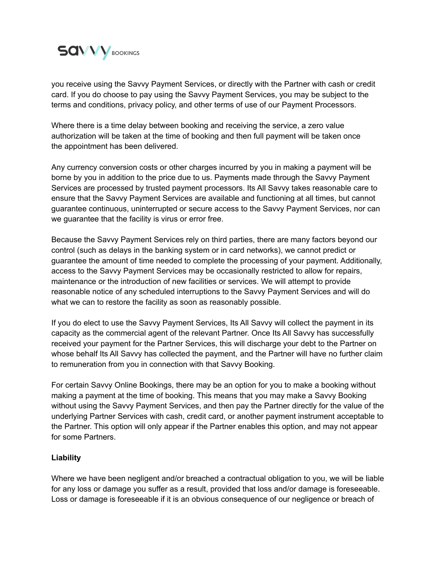

you receive using the Savvy Payment Services, or directly with the Partner with cash or credit card. If you do choose to pay using the Savvy Payment Services, you may be subject to the terms and conditions, privacy policy, and other terms of use of our Payment Processors.

Where there is a time delay between booking and receiving the service, a zero value authorization will be taken at the time of booking and then full payment will be taken once the appointment has been delivered.

Any currency conversion costs or other charges incurred by you in making a payment will be borne by you in addition to the price due to us. Payments made through the Savvy Payment Services are processed by trusted payment processors. Its All Savvy takes reasonable care to ensure that the Savvy Payment Services are available and functioning at all times, but cannot guarantee continuous, uninterrupted or secure access to the Savvy Payment Services, nor can we guarantee that the facility is virus or error free.

Because the Savvy Payment Services rely on third parties, there are many factors beyond our control (such as delays in the banking system or in card networks), we cannot predict or guarantee the amount of time needed to complete the processing of your payment. Additionally, access to the Savvy Payment Services may be occasionally restricted to allow for repairs, maintenance or the introduction of new facilities or services. We will attempt to provide reasonable notice of any scheduled interruptions to the Savvy Payment Services and will do what we can to restore the facility as soon as reasonably possible.

If you do elect to use the Savvy Payment Services, Its All Savvy will collect the payment in its capacity as the commercial agent of the relevant Partner. Once Its All Savvy has successfully received your payment for the Partner Services, this will discharge your debt to the Partner on whose behalf Its All Savvy has collected the payment, and the Partner will have no further claim to remuneration from you in connection with that Savvy Booking.

For certain Savvy Online Bookings, there may be an option for you to make a booking without making a payment at the time of booking. This means that you may make a Savvy Booking without using the Savvy Payment Services, and then pay the Partner directly for the value of the underlying Partner Services with cash, credit card, or another payment instrument acceptable to the Partner. This option will only appear if the Partner enables this option, and may not appear for some Partners.

## **Liability**

Where we have been negligent and/or breached a contractual obligation to you, we will be liable for any loss or damage you suffer as a result, provided that loss and/or damage is foreseeable. Loss or damage is foreseeable if it is an obvious consequence of our negligence or breach of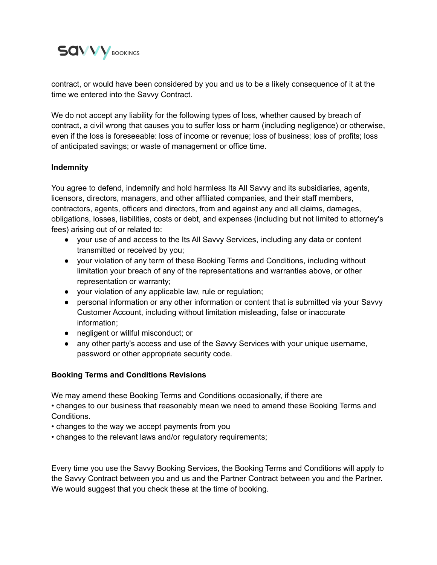

contract, or would have been considered by you and us to be a likely consequence of it at the time we entered into the Savvy Contract.

We do not accept any liability for the following types of loss, whether caused by breach of contract, a civil wrong that causes you to suffer loss or harm (including negligence) or otherwise, even if the loss is foreseeable: loss of income or revenue; loss of business; loss of profits; loss of anticipated savings; or waste of management or office time.

## **Indemnity**

You agree to defend, indemnify and hold harmless Its All Savvy and its subsidiaries, agents, licensors, directors, managers, and other affiliated companies, and their staff members, contractors, agents, officers and directors, from and against any and all claims, damages, obligations, losses, liabilities, costs or debt, and expenses (including but not limited to attorney's fees) arising out of or related to:

- your use of and access to the Its All Savvy Services, including any data or content transmitted or received by you;
- your violation of any term of these Booking Terms and Conditions, including without limitation your breach of any of the representations and warranties above, or other representation or warranty;
- your violation of any applicable law, rule or regulation;
- personal information or any other information or content that is submitted via your Savvy Customer Account, including without limitation misleading, false or inaccurate information;
- negligent or willful misconduct; or
- any other party's access and use of the Savvy Services with your unique username, password or other appropriate security code.

## **Booking Terms and Conditions Revisions**

We may amend these Booking Terms and Conditions occasionally, if there are

• changes to our business that reasonably mean we need to amend these Booking Terms and Conditions.

- changes to the way we accept payments from you
- changes to the relevant laws and/or regulatory requirements;

Every time you use the Savvy Booking Services, the Booking Terms and Conditions will apply to the Savvy Contract between you and us and the Partner Contract between you and the Partner. We would suggest that you check these at the time of booking.